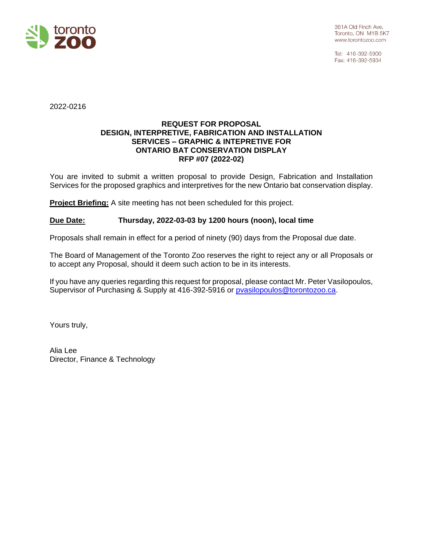

Tel: 416-392-5900 Fax: 416-392-5934

2022-0216

# **REQUEST FOR PROPOSAL DESIGN, INTERPRETIVE, FABRICATION AND INSTALLATION SERVICES – GRAPHIC & INTEPRETIVE FOR ONTARIO BAT CONSERVATION DISPLAY RFP #07 (2022-02)**

You are invited to submit a written proposal to provide Design, Fabrication and Installation Services for the proposed graphics and interpretives for the new Ontario bat conservation display.

**Project Briefing:** A site meeting has not been scheduled for this project.

# **Due Date: Thursday, 2022-03-03 by 1200 hours (noon), local time**

Proposals shall remain in effect for a period of ninety (90) days from the Proposal due date.

The Board of Management of the Toronto Zoo reserves the right to reject any or all Proposals or to accept any Proposal, should it deem such action to be in its interests.

If you have any queries regarding this request for proposal, please contact Mr. Peter Vasilopoulos, Supervisor of Purchasing & Supply at 416-392-5916 or [pvasilopoulos@torontozoo.ca.](mailto:pvasilopoulos@torontozoo.ca)

Yours truly,

Alia Lee Director, Finance & Technology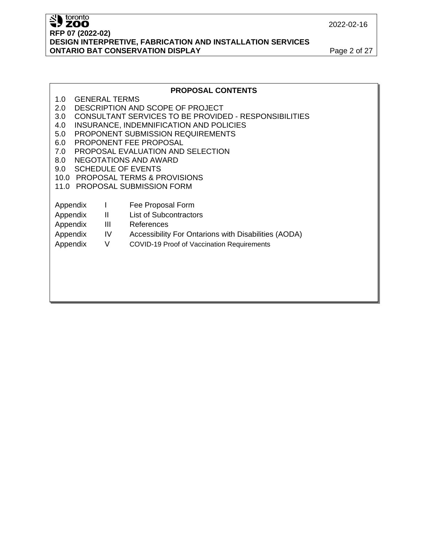2022-02-16

# Superiordinal contracts **RFP 07 (2022-02) DESIGN INTERPRETIVE, FABRICATION AND INSTALLATION SERVICES ONTARIO BAT CONSERVATION DISPLAY Page 2 of 27**

|                                  | <b>PROPOSAL CONTENTS</b>                                     |              |                                                      |  |  |  |  |
|----------------------------------|--------------------------------------------------------------|--------------|------------------------------------------------------|--|--|--|--|
| 1.0                              | <b>GENERAL TERMS</b>                                         |              |                                                      |  |  |  |  |
| 2.0                              | DESCRIPTION AND SCOPE OF PROJECT                             |              |                                                      |  |  |  |  |
| 3.0                              | <b>CONSULTANT SERVICES TO BE PROVIDED - RESPONSIBILITIES</b> |              |                                                      |  |  |  |  |
| 4.0                              | INSURANCE, INDEMNIFICATION AND POLICIES                      |              |                                                      |  |  |  |  |
| 5.0                              |                                                              |              | PROPONENT SUBMISSION REQUIREMENTS                    |  |  |  |  |
| 6.0                              |                                                              |              | PROPONENT FEE PROPOSAL                               |  |  |  |  |
| 7.0                              |                                                              |              | PROPOSAL EVALUATION AND SELECTION                    |  |  |  |  |
| 8.0                              |                                                              |              | NEGOTATIONS AND AWARD                                |  |  |  |  |
| <b>SCHEDULE OF EVENTS</b><br>9.0 |                                                              |              |                                                      |  |  |  |  |
|                                  | 10.0 PROPOSAL TERMS & PROVISIONS                             |              |                                                      |  |  |  |  |
| 11.0 PROPOSAL SUBMISSION FORM    |                                                              |              |                                                      |  |  |  |  |
|                                  |                                                              |              |                                                      |  |  |  |  |
| Appendix                         |                                                              | $\mathbf{L}$ | Fee Proposal Form                                    |  |  |  |  |
| Appendix                         |                                                              | $\mathbf{H}$ | <b>List of Subcontractors</b>                        |  |  |  |  |
| Appendix                         |                                                              | Ш            | References                                           |  |  |  |  |
| Appendix                         |                                                              | IV           | Accessibility For Ontarions with Disabilities (AODA) |  |  |  |  |
| Appendix                         |                                                              | V            | COVID-19 Proof of Vaccination Requirements           |  |  |  |  |
|                                  |                                                              |              |                                                      |  |  |  |  |
|                                  |                                                              |              |                                                      |  |  |  |  |
|                                  |                                                              |              |                                                      |  |  |  |  |
|                                  |                                                              |              |                                                      |  |  |  |  |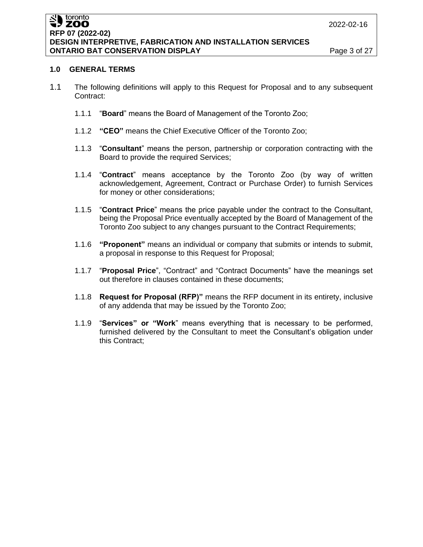#### toronto SU toronto **RFP 07 (2022-02) DESIGN INTERPRETIVE, FABRICATION AND INSTALLATION SERVICES ONTARIO BAT CONSERVATION DISPLAY Page 3 of 27**

# **1.0 GENERAL TERMS**

- 1.1 The following definitions will apply to this Request for Proposal and to any subsequent Contract:
	- 1.1.1 "**Board**" means the Board of Management of the Toronto Zoo;
	- 1.1.2 **"CEO"** means the Chief Executive Officer of the Toronto Zoo;
	- 1.1.3 "**Consultant**" means the person, partnership or corporation contracting with the Board to provide the required Services;
	- 1.1.4 "**Contract**" means acceptance by the Toronto Zoo (by way of written acknowledgement, Agreement, Contract or Purchase Order) to furnish Services for money or other considerations;
	- 1.1.5 "**Contract Price**" means the price payable under the contract to the Consultant, being the Proposal Price eventually accepted by the Board of Management of the Toronto Zoo subject to any changes pursuant to the Contract Requirements;
	- 1.1.6 **"Proponent"** means an individual or company that submits or intends to submit, a proposal in response to this Request for Proposal;
	- 1.1.7 "**Proposal Price**", "Contract" and "Contract Documents" have the meanings set out therefore in clauses contained in these documents;
	- 1.1.8 **Request for Proposal (RFP)"** means the RFP document in its entirety, inclusive of any addenda that may be issued by the Toronto Zoo;
	- 1.1.9 "**Services" or "Work**" means everything that is necessary to be performed, furnished delivered by the Consultant to meet the Consultant's obligation under this Contract;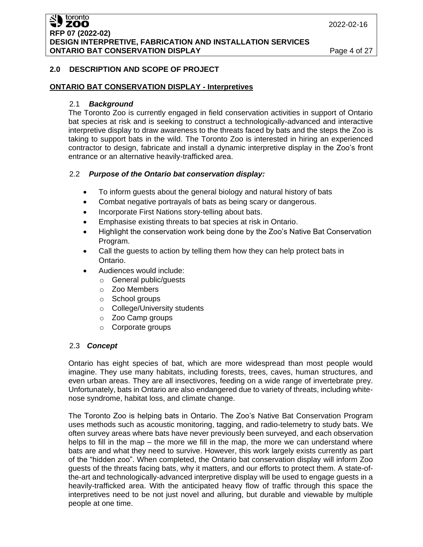#### toronto **ZOO RFP 07 (2022-02) DESIGN INTERPRETIVE, FABRICATION AND INSTALLATION SERVICES ONTARIO BAT CONSERVATION DISPLAY Page 4 of 27**

# **2.0 DESCRIPTION AND SCOPE OF PROJECT**

## **ONTARIO BAT CONSERVATION DISPLAY - Interpretives**

#### 2.1 *Background*

The Toronto Zoo is currently engaged in field conservation activities in support of Ontario bat species at risk and is seeking to construct a technologically-advanced and interactive interpretive display to draw awareness to the threats faced by bats and the steps the Zoo is taking to support bats in the wild. The Toronto Zoo is interested in hiring an experienced contractor to design, fabricate and install a dynamic interpretive display in the Zoo's front entrance or an alternative heavily-trafficked area.

## 2.2 *Purpose of the Ontario bat conservation display:*

- To inform guests about the general biology and natural history of bats
- Combat negative portrayals of bats as being scary or dangerous.
- Incorporate First Nations story-telling about bats.
- Emphasise existing threats to bat species at risk in Ontario.
- Highlight the conservation work being done by the Zoo's Native Bat Conservation Program.
- Call the guests to action by telling them how they can help protect bats in Ontario.
- Audiences would include:
	- o General public/guests
	- o Zoo Members
	- o School groups
	- o College/University students
	- o Zoo Camp groups
	- o Corporate groups

## 2.3 *Concept*

Ontario has eight species of bat, which are more widespread than most people would imagine. They use many habitats, including forests, trees, caves, human structures, and even urban areas. They are all insectivores, feeding on a wide range of invertebrate prey. Unfortunately, bats in Ontario are also endangered due to variety of threats, including whitenose syndrome, habitat loss, and climate change.

The Toronto Zoo is helping bats in Ontario. The Zoo's Native Bat Conservation Program uses methods such as acoustic monitoring, tagging, and radio-telemetry to study bats. We often survey areas where bats have never previously been surveyed, and each observation helps to fill in the map – the more we fill in the map, the more we can understand where bats are and what they need to survive. However, this work largely exists currently as part of the "hidden zoo". When completed, the Ontario bat conservation display will inform Zoo guests of the threats facing bats, why it matters, and our efforts to protect them. A state-ofthe-art and technologically-advanced interpretive display will be used to engage guests in a heavily-trafficked area. With the anticipated heavy flow of traffic through this space the interpretives need to be not just novel and alluring, but durable and viewable by multiple people at one time.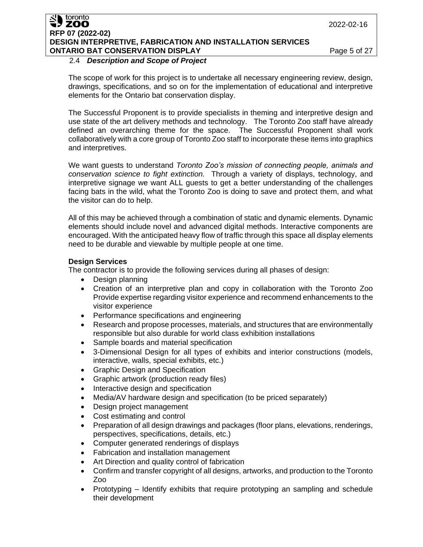#### toronto **ZOO RFP 07 (2022-02) DESIGN INTERPRETIVE, FABRICATION AND INSTALLATION SERVICES ONTARIO BAT CONSERVATION DISPLAY Page 5 of 27**

## 2.4 *Description and Scope of Project*

The scope of work for this project is to undertake all necessary engineering review, design, drawings, specifications, and so on for the implementation of educational and interpretive elements for the Ontario bat conservation display.

The Successful Proponent is to provide specialists in theming and interpretive design and use state of the art delivery methods and technology. The Toronto Zoo staff have already defined an overarching theme for the space. The Successful Proponent shall work collaboratively with a core group of Toronto Zoo staff to incorporate these items into graphics and interpretives.

We want guests to understand *Toronto Zoo's mission of connecting people, animals and conservation science to fight extinction.* Through a variety of displays, technology, and interpretive signage we want ALL guests to get a better understanding of the challenges facing bats in the wild, what the Toronto Zoo is doing to save and protect them, and what the visitor can do to help.

All of this may be achieved through a combination of static and dynamic elements. Dynamic elements should include novel and advanced digital methods. Interactive components are encouraged. With the anticipated heavy flow of traffic through this space all display elements need to be durable and viewable by multiple people at one time.

# **Design Services**

The contractor is to provide the following services during all phases of design:

- Design planning
- Creation of an interpretive plan and copy in collaboration with the Toronto Zoo Provide expertise regarding visitor experience and recommend enhancements to the visitor experience
- Performance specifications and engineering
- Research and propose processes, materials, and structures that are environmentally responsible but also durable for world class exhibition installations
- Sample boards and material specification
- 3-Dimensional Design for all types of exhibits and interior constructions (models, interactive, walls, special exhibits, etc.)
- Graphic Design and Specification
- Graphic artwork (production ready files)
- Interactive design and specification
- Media/AV hardware design and specification (to be priced separately)
- Design project management
- Cost estimating and control
- Preparation of all design drawings and packages (floor plans, elevations, renderings, perspectives, specifications, details, etc.)
- Computer generated renderings of displays
- Fabrication and installation management
- Art Direction and quality control of fabrication
- Confirm and transfer copyright of all designs, artworks, and production to the Toronto Zoo
- Prototyping Identify exhibits that require prototyping an sampling and schedule their development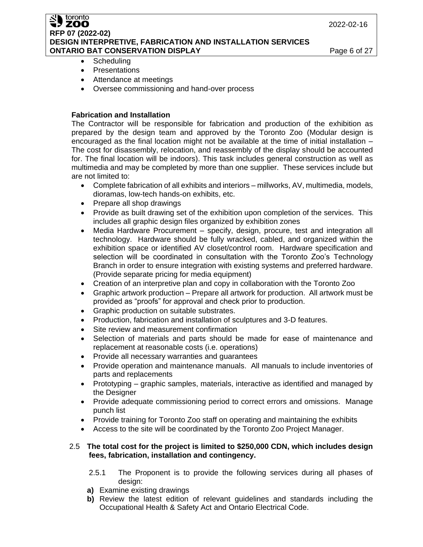2022-02-16

#### toronto **ZOO RFP 07 (2022-02) DESIGN INTERPRETIVE, FABRICATION AND INSTALLATION SERVICES ONTARIO BAT CONSERVATION DISPLAY Page 6 of 27**

- Scheduling
- Presentations
- Attendance at meetings
- Oversee commissioning and hand-over process

## **Fabrication and Installation**

The Contractor will be responsible for fabrication and production of the exhibition as prepared by the design team and approved by the Toronto Zoo (Modular design is encouraged as the final location might not be available at the time of initial installation – The cost for disassembly, relocation, and reassembly of the display should be accounted for. The final location will be indoors). This task includes general construction as well as multimedia and may be completed by more than one supplier. These services include but are not limited to:

- Complete fabrication of all exhibits and interiors millworks, AV, multimedia, models, dioramas, low-tech hands-on exhibits, etc.
- Prepare all shop drawings
- Provide as built drawing set of the exhibition upon completion of the services. This includes all graphic design files organized by exhibition zones
- Media Hardware Procurement specify, design, procure, test and integration all technology. Hardware should be fully wracked, cabled, and organized within the exhibition space or identified AV closet/control room. Hardware specification and selection will be coordinated in consultation with the Toronto Zoo's Technology Branch in order to ensure integration with existing systems and preferred hardware. (Provide separate pricing for media equipment)
- Creation of an interpretive plan and copy in collaboration with the Toronto Zoo
- Graphic artwork production Prepare all artwork for production. All artwork must be provided as "proofs" for approval and check prior to production.
- Graphic production on suitable substrates.
- Production, fabrication and installation of sculptures and 3-D features.
- Site review and measurement confirmation
- Selection of materials and parts should be made for ease of maintenance and replacement at reasonable costs (i.e. operations)
- Provide all necessary warranties and guarantees
- Provide operation and maintenance manuals. All manuals to include inventories of parts and replacements
- Prototyping graphic samples, materials, interactive as identified and managed by the Designer
- Provide adequate commissioning period to correct errors and omissions. Manage punch list
- Provide training for Toronto Zoo staff on operating and maintaining the exhibits
- Access to the site will be coordinated by the Toronto Zoo Project Manager.

# 2.5 **The total cost for the project is limited to \$250,000 CDN, which includes design fees, fabrication, installation and contingency.**

- 2.5.1 The Proponent is to provide the following services during all phases of design:
- **a)** Examine existing drawings
- **b)** Review the latest edition of relevant guidelines and standards including the Occupational Health & Safety Act and Ontario Electrical Code.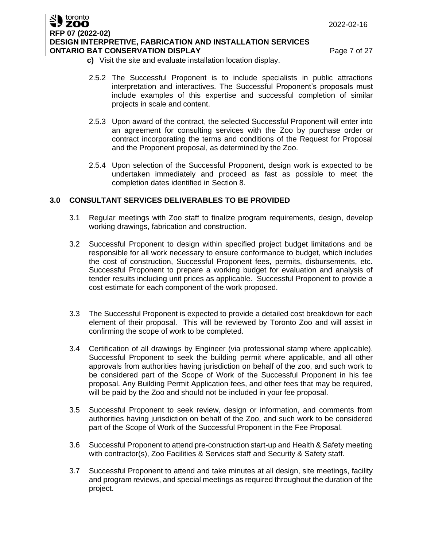#### toronto ZOO **RFP 07 (2022-02) DESIGN INTERPRETIVE, FABRICATION AND INSTALLATION SERVICES ONTARIO BAT CONSERVATION DISPLAY Page 7 of 27**

- **c)** Visit the site and evaluate installation location display.
- 2.5.2 The Successful Proponent is to include specialists in public attractions interpretation and interactives. The Successful Proponent's proposals must include examples of this expertise and successful completion of similar projects in scale and content.
- 2.5.3 Upon award of the contract, the selected Successful Proponent will enter into an agreement for consulting services with the Zoo by purchase order or contract incorporating the terms and conditions of the Request for Proposal and the Proponent proposal, as determined by the Zoo.
- 2.5.4 Upon selection of the Successful Proponent, design work is expected to be undertaken immediately and proceed as fast as possible to meet the completion dates identified in Section 8.

# **3.0 CONSULTANT SERVICES DELIVERABLES TO BE PROVIDED**

- 3.1 Regular meetings with Zoo staff to finalize program requirements, design, develop working drawings, fabrication and construction.
- 3.2 Successful Proponent to design within specified project budget limitations and be responsible for all work necessary to ensure conformance to budget, which includes the cost of construction, Successful Proponent fees, permits, disbursements, etc. Successful Proponent to prepare a working budget for evaluation and analysis of tender results including unit prices as applicable. Successful Proponent to provide a cost estimate for each component of the work proposed.
- 3.3 The Successful Proponent is expected to provide a detailed cost breakdown for each element of their proposal. This will be reviewed by Toronto Zoo and will assist in confirming the scope of work to be completed.
- 3.4 Certification of all drawings by Engineer (via professional stamp where applicable). Successful Proponent to seek the building permit where applicable, and all other approvals from authorities having jurisdiction on behalf of the zoo, and such work to be considered part of the Scope of Work of the Successful Proponent in his fee proposal. Any Building Permit Application fees, and other fees that may be required, will be paid by the Zoo and should not be included in your fee proposal.
- 3.5 Successful Proponent to seek review, design or information, and comments from authorities having jurisdiction on behalf of the Zoo, and such work to be considered part of the Scope of Work of the Successful Proponent in the Fee Proposal.
- 3.6 Successful Proponent to attend pre-construction start-up and Health & Safety meeting with contractor(s), Zoo Facilities & Services staff and Security & Safety staff.
- 3.7 Successful Proponent to attend and take minutes at all design, site meetings, facility and program reviews, and special meetings as required throughout the duration of the project.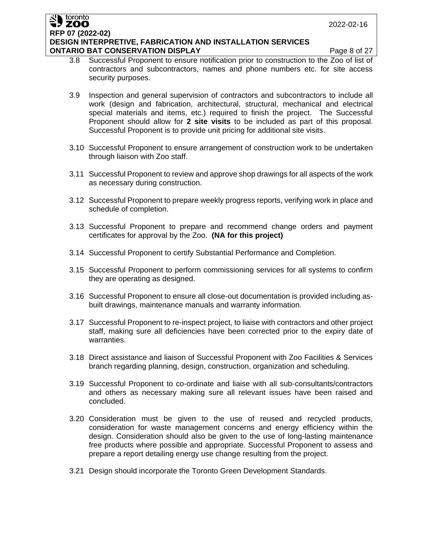#### toronto ZOO **RFP 07 (2022-02) DESIGN INTERPRETIVE, FABRICATION AND INSTALLATION SERVICES ONTARIO BAT CONSERVATION DISPLAY Page 8 of 27**

- 3.8 Successful Proponent to ensure notification prior to construction to the Zoo of list of contractors and subcontractors, names and phone numbers etc. for site access security purposes.
- 3.9 Inspection and general supervision of contractors and subcontractors to include all work (design and fabrication, architectural, structural, mechanical and electrical special materials and items, etc.) required to finish the project. The Successful Proponent should allow for **2 site visits** to be included as part of this proposal. Successful Proponent is to provide unit pricing for additional site visits.
- 3.10 Successful Proponent to ensure arrangement of construction work to be undertaken through liaison with Zoo staff.
- 3.11 Successful Proponent to review and approve shop drawings for all aspects of the work as necessary during construction.
- 3.12 Successful Proponent to prepare weekly progress reports, verifying work in place and schedule of completion.
- 3.13 Successful Proponent to prepare and recommend change orders and payment certificates for approval by the Zoo. **(NA for this project)**
- 3.14 Successful Proponent to certify Substantial Performance and Completion.
- 3.15 Successful Proponent to perform commissioning services for all systems to confirm they are operating as designed.
- 3.16 Successful Proponent to ensure all close-out documentation is provided including asbuilt drawings, maintenance manuals and warranty information.
- 3.17 Successful Proponent to re-inspect project, to liaise with contractors and other project staff, making sure all deficiencies have been corrected prior to the expiry date of warranties.
- 3.18 Direct assistance and liaison of Successful Proponent with Zoo Facilities & Services branch regarding planning, design, construction, organization and scheduling.
- 3.19 Successful Proponent to co-ordinate and liaise with all sub-consultants/contractors and others as necessary making sure all relevant issues have been raised and concluded.
- 3.20 Consideration must be given to the use of reused and recycled products, consideration for waste management concerns and energy efficiency within the design. Consideration should also be given to the use of long-lasting maintenance free products where possible and appropriate. Successful Proponent to assess and prepare a report detailing energy use change resulting from the project.
- 3.21 Design should incorporate the Toronto Green Development Standards.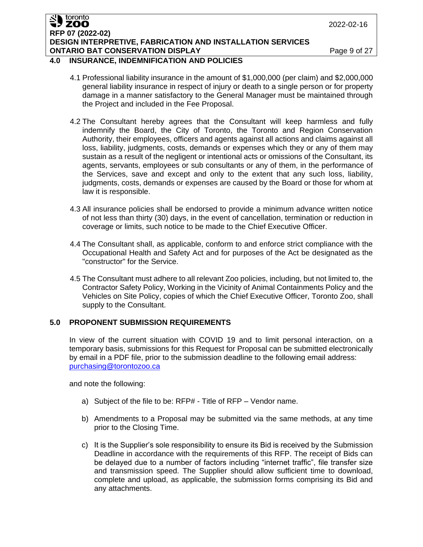2022-02-16

#### toronto ZOO **RFP 07 (2022-02) DESIGN INTERPRETIVE, FABRICATION AND INSTALLATION SERVICES ONTARIO BAT CONSERVATION DISPLAY Page 9 of 27**

## **4.0 INSURANCE, INDEMNIFICATION AND POLICIES**

- 4.1 Professional liability insurance in the amount of \$1,000,000 (per claim) and \$2,000,000 general liability insurance in respect of injury or death to a single person or for property damage in a manner satisfactory to the General Manager must be maintained through the Project and included in the Fee Proposal.
- 4.2 The Consultant hereby agrees that the Consultant will keep harmless and fully indemnify the Board, the City of Toronto, the Toronto and Region Conservation Authority, their employees, officers and agents against all actions and claims against all loss, liability, judgments, costs, demands or expenses which they or any of them may sustain as a result of the negligent or intentional acts or omissions of the Consultant, its agents, servants, employees or sub consultants or any of them, in the performance of the Services, save and except and only to the extent that any such loss, liability, judgments, costs, demands or expenses are caused by the Board or those for whom at law it is responsible.
- 4.3 All insurance policies shall be endorsed to provide a minimum advance written notice of not less than thirty (30) days, in the event of cancellation, termination or reduction in coverage or limits, such notice to be made to the Chief Executive Officer.
- 4.4 The Consultant shall, as applicable, conform to and enforce strict compliance with the Occupational Health and Safety Act and for purposes of the Act be designated as the "constructor" for the Service.
- 4.5 The Consultant must adhere to all relevant Zoo policies, including, but not limited to, the Contractor Safety Policy, Working in the Vicinity of Animal Containments Policy and the Vehicles on Site Policy, copies of which the Chief Executive Officer, Toronto Zoo, shall supply to the Consultant.

# **5.0 PROPONENT SUBMISSION REQUIREMENTS**

In view of the current situation with COVID 19 and to limit personal interaction, on a temporary basis, submissions for this Request for Proposal can be submitted electronically by email in a PDF file, prior to the submission deadline to the following email address: [purchasing@torontozoo.ca](mailto:purchasing@torontozoo.ca)

and note the following:

- a) Subject of the file to be: RFP# Title of RFP Vendor name.
- b) Amendments to a Proposal may be submitted via the same methods, at any time prior to the Closing Time.
- c) It is the Supplier's sole responsibility to ensure its Bid is received by the Submission Deadline in accordance with the requirements of this RFP. The receipt of Bids can be delayed due to a number of factors including "internet traffic", file transfer size and transmission speed. The Supplier should allow sufficient time to download, complete and upload, as applicable, the submission forms comprising its Bid and any attachments.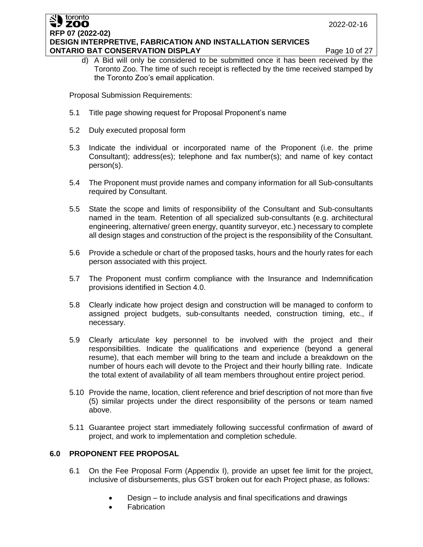#### toronto **ZOO RFP 07 (2022-02) DESIGN INTERPRETIVE, FABRICATION AND INSTALLATION SERVICES ONTARIO BAT CONSERVATION DISPLAY Page 10 of 27**

d) A Bid will only be considered to be submitted once it has been received by the Toronto Zoo. The time of such receipt is reflected by the time received stamped by the Toronto Zoo's email application.

Proposal Submission Requirements:

- 5.1 Title page showing request for Proposal Proponent's name
- 5.2 Duly executed proposal form
- 5.3 Indicate the individual or incorporated name of the Proponent (i.e. the prime Consultant); address(es); telephone and fax number(s); and name of key contact person(s).
- 5.4 The Proponent must provide names and company information for all Sub-consultants required by Consultant.
- 5.5 State the scope and limits of responsibility of the Consultant and Sub-consultants named in the team. Retention of all specialized sub-consultants (e.g. architectural engineering, alternative/ green energy, quantity surveyor, etc.) necessary to complete all design stages and construction of the project is the responsibility of the Consultant.
- 5.6 Provide a schedule or chart of the proposed tasks, hours and the hourly rates for each person associated with this project.
- 5.7 The Proponent must confirm compliance with the Insurance and Indemnification provisions identified in Section 4.0.
- 5.8 Clearly indicate how project design and construction will be managed to conform to assigned project budgets, sub-consultants needed, construction timing, etc., if necessary.
- 5.9 Clearly articulate key personnel to be involved with the project and their responsibilities. Indicate the qualifications and experience (beyond a general resume), that each member will bring to the team and include a breakdown on the number of hours each will devote to the Project and their hourly billing rate. Indicate the total extent of availability of all team members throughout entire project period.
- 5.10 Provide the name, location, client reference and brief description of not more than five (5) similar projects under the direct responsibility of the persons or team named above.
- 5.11 Guarantee project start immediately following successful confirmation of award of project, and work to implementation and completion schedule.

# **6.0 PROPONENT FEE PROPOSAL**

- 6.1 On the Fee Proposal Form (Appendix I), provide an upset fee limit for the project, inclusive of disbursements, plus GST broken out for each Project phase, as follows:
	- Design to include analysis and final specifications and drawings
	- **Fabrication**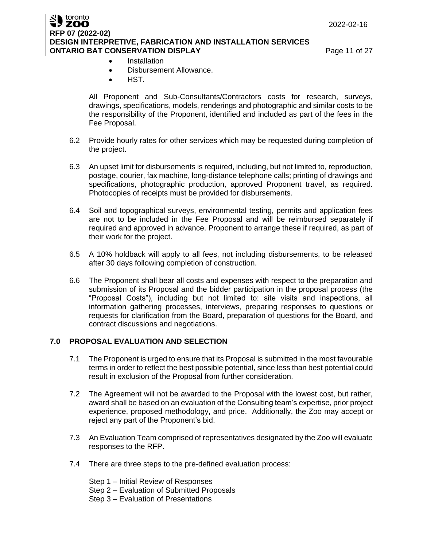#### toronto ZOO **RFP 07 (2022-02) DESIGN INTERPRETIVE, FABRICATION AND INSTALLATION SERVICES ONTARIO BAT CONSERVATION DISPLAY Page 11 of 27**

- Installation
- Disbursement Allowance.
- HST.

All Proponent and Sub-Consultants/Contractors costs for research, surveys, drawings, specifications, models, renderings and photographic and similar costs to be the responsibility of the Proponent, identified and included as part of the fees in the Fee Proposal.

- 6.2 Provide hourly rates for other services which may be requested during completion of the project.
- 6.3 An upset limit for disbursements is required, including, but not limited to, reproduction, postage, courier, fax machine, long-distance telephone calls; printing of drawings and specifications, photographic production, approved Proponent travel, as required. Photocopies of receipts must be provided for disbursements.
- 6.4 Soil and topographical surveys, environmental testing, permits and application fees are not to be included in the Fee Proposal and will be reimbursed separately if required and approved in advance. Proponent to arrange these if required, as part of their work for the project.
- 6.5 A 10% holdback will apply to all fees, not including disbursements, to be released after 30 days following completion of construction.
- 6.6 The Proponent shall bear all costs and expenses with respect to the preparation and submission of its Proposal and the bidder participation in the proposal process (the "Proposal Costs"), including but not limited to: site visits and inspections, all information gathering processes, interviews, preparing responses to questions or requests for clarification from the Board, preparation of questions for the Board, and contract discussions and negotiations.

## **7.0 PROPOSAL EVALUATION AND SELECTION**

- 7.1 The Proponent is urged to ensure that its Proposal is submitted in the most favourable terms in order to reflect the best possible potential, since less than best potential could result in exclusion of the Proposal from further consideration.
- 7.2 The Agreement will not be awarded to the Proposal with the lowest cost, but rather, award shall be based on an evaluation of the Consulting team's expertise, prior project experience, proposed methodology, and price. Additionally, the Zoo may accept or reject any part of the Proponent's bid.
- 7.3 An Evaluation Team comprised of representatives designated by the Zoo will evaluate responses to the RFP.
- 7.4 There are three steps to the pre-defined evaluation process:

Step 1 – Initial Review of Responses Step 2 – Evaluation of Submitted Proposals Step 3 – Evaluation of Presentations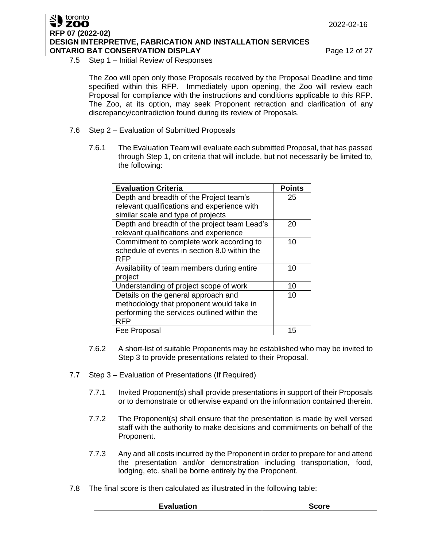#### toronto **ZOO RFP 07 (2022-02) DESIGN INTERPRETIVE, FABRICATION AND INSTALLATION SERVICES ONTARIO BAT CONSERVATION DISPLAY Page 12 of 27**

#### 7.5 Step 1 – Initial Review of Responses

The Zoo will open only those Proposals received by the Proposal Deadline and time specified within this RFP. Immediately upon opening, the Zoo will review each Proposal for compliance with the instructions and conditions applicable to this RFP. The Zoo, at its option, may seek Proponent retraction and clarification of any discrepancy/contradiction found during its review of Proposals.

- 7.6 Step 2 Evaluation of Submitted Proposals
	- 7.6.1 The Evaluation Team will evaluate each submitted Proposal, that has passed through Step 1, on criteria that will include, but not necessarily be limited to, the following:

| <b>Evaluation Criteria</b>                   | <b>Points</b> |
|----------------------------------------------|---------------|
| Depth and breadth of the Project team's      | 25            |
| relevant qualifications and experience with  |               |
| similar scale and type of projects           |               |
| Depth and breadth of the project team Lead's | 20            |
| relevant qualifications and experience       |               |
| Commitment to complete work according to     | 10            |
| schedule of events in section 8.0 within the |               |
| RFP                                          |               |
| Availability of team members during entire   | 10            |
| project                                      |               |
| Understanding of project scope of work       | 10            |
| Details on the general approach and          | 10            |
| methodology that proponent would take in     |               |
| performing the services outlined within the  |               |
| RFP                                          |               |
| Fee Proposal                                 | 15            |

- 7.6.2 A short-list of suitable Proponents may be established who may be invited to Step 3 to provide presentations related to their Proposal.
- 7.7 Step 3 Evaluation of Presentations (If Required)
	- 7.7.1 Invited Proponent(s) shall provide presentations in support of their Proposals or to demonstrate or otherwise expand on the information contained therein.
	- 7.7.2 The Proponent(s) shall ensure that the presentation is made by well versed staff with the authority to make decisions and commitments on behalf of the Proponent.
	- 7.7.3 Any and all costs incurred by the Proponent in order to prepare for and attend the presentation and/or demonstration including transportation, food, lodging, etc. shall be borne entirely by the Proponent.
- 7.8 The final score is then calculated as illustrated in the following table:

|                   | ---- |
|-------------------|------|
| <b>Evaluation</b> | ாட   |
| .                 | - 7  |
|                   |      |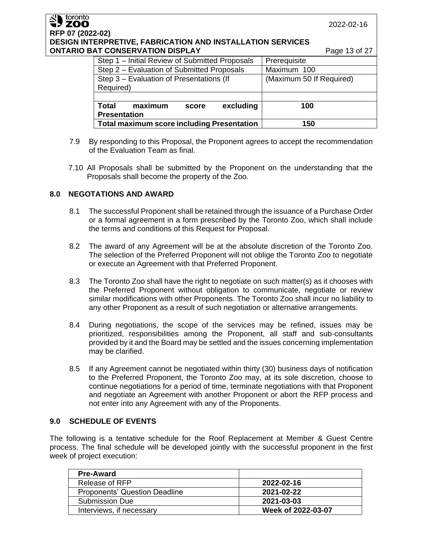| SU toronto<br>toronto<br>RFP 07 (2022-02)<br><b>DESIGN INTERPRETIVE, FABRICATION AND INSTALLATION SERVICES</b><br><b>ONTARIO BAT CONSERVATION DISPLAY</b> | 2022-02-16<br>Page 13 of 27             |
|-----------------------------------------------------------------------------------------------------------------------------------------------------------|-----------------------------------------|
| Step 1 – Initial Review of Submitted Proposals                                                                                                            | Prerequisite                            |
| Step 2 - Evaluation of Submitted Proposals<br>Step 3 - Evaluation of Presentations (If                                                                    | Maximum 100<br>(Maximum 50 If Required) |
| Required)                                                                                                                                                 |                                         |
| <b>Total</b>                                                                                                                                              |                                         |
| excluding<br>maximum<br>score<br><b>Presentation</b>                                                                                                      | 100                                     |
| <b>Total maximum score including Presentation</b>                                                                                                         | 150                                     |

- 7.9 By responding to this Proposal, the Proponent agrees to accept the recommendation of the Evaluation Team as final.
- 7.10 All Proposals shall be submitted by the Proponent on the understanding that the Proposals shall become the property of the Zoo.

# **8.0 NEGOTATIONS AND AWARD**

- 8.1 The successful Proponent shall be retained through the issuance of a Purchase Order or a formal agreement in a form prescribed by the Toronto Zoo, which shall include the terms and conditions of this Request for Proposal.
- 8.2 The award of any Agreement will be at the absolute discretion of the Toronto Zoo. The selection of the Preferred Proponent will not oblige the Toronto Zoo to negotiate or execute an Agreement with that Preferred Proponent.
- 8.3 The Toronto Zoo shall have the right to negotiate on such matter(s) as it chooses with the Preferred Proponent without obligation to communicate, negotiate or review similar modifications with other Proponents. The Toronto Zoo shall incur no liability to any other Proponent as a result of such negotiation or alternative arrangements.
- 8.4 During negotiations, the scope of the services may be refined, issues may be prioritized, responsibilities among the Proponent, all staff and sub-consultants provided by it and the Board may be settled and the issues concerning implementation may be clarified.
- 8.5 If any Agreement cannot be negotiated within thirty (30) business days of notification to the Preferred Proponent, the Toronto Zoo may, at its sole discretion, choose to continue negotiations for a period of time, terminate negotiations with that Proponent and negotiate an Agreement with another Proponent or abort the RFP process and not enter into any Agreement with any of the Proponents.

## **9.0 SCHEDULE OF EVENTS**

The following is a tentative schedule for the Roof Replacement at Member & Guest Centre process. The final schedule will be developed jointly with the successful proponent in the first week of project execution:

| <b>Pre-Award</b>                     |                    |
|--------------------------------------|--------------------|
| Release of RFP                       | 2022-02-16         |
| <b>Proponents' Question Deadline</b> | 2021-02-22         |
| <b>Submission Due</b>                | 2021-03-03         |
| Interviews, if necessary             | Week of 2022-03-07 |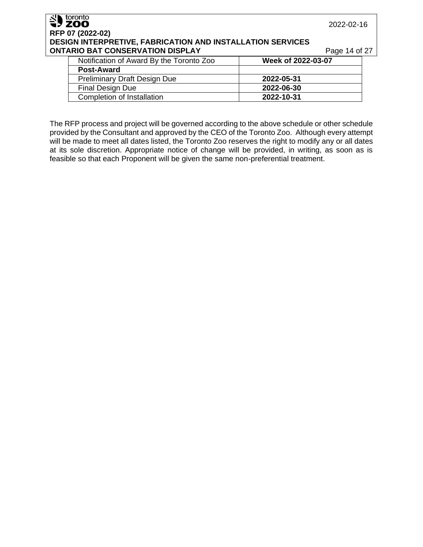| SU toronto                                                        | 2022-02-16         |  |  |  |
|-------------------------------------------------------------------|--------------------|--|--|--|
| RFP 07 (2022-02)                                                  |                    |  |  |  |
| <b>DESIGN INTERPRETIVE, FABRICATION AND INSTALLATION SERVICES</b> |                    |  |  |  |
| <b>ONTARIO BAT CONSERVATION DISPLAY</b>                           | Page 14 of 27      |  |  |  |
| Notification of Award By the Toronto Zoo                          | Week of 2022-03-07 |  |  |  |
| <b>Post-Award</b>                                                 |                    |  |  |  |
| <b>Preliminary Draft Design Due</b>                               | 2022-05-31         |  |  |  |
| <b>Final Design Due</b>                                           | 2022-06-30         |  |  |  |

Completion of Installation **2022-10-31**

The RFP process and project will be governed according to the above schedule or other schedule provided by the Consultant and approved by the CEO of the Toronto Zoo. Although every attempt will be made to meet all dates listed, the Toronto Zoo reserves the right to modify any or all dates at its sole discretion. Appropriate notice of change will be provided, in writing, as soon as is feasible so that each Proponent will be given the same non-preferential treatment.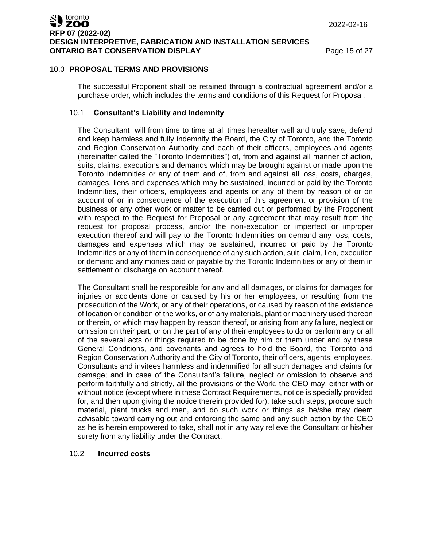## 10.0 **PROPOSAL TERMS AND PROVISIONS**

The successful Proponent shall be retained through a contractual agreement and/or a purchase order, which includes the terms and conditions of this Request for Proposal.

## 10.1 **Consultant's Liability and Indemnity**

The Consultant will from time to time at all times hereafter well and truly save, defend and keep harmless and fully indemnify the Board, the City of Toronto, and the Toronto and Region Conservation Authority and each of their officers, employees and agents (hereinafter called the "Toronto Indemnities") of, from and against all manner of action, suits, claims, executions and demands which may be brought against or made upon the Toronto Indemnities or any of them and of, from and against all loss, costs, charges, damages, liens and expenses which may be sustained, incurred or paid by the Toronto Indemnities, their officers, employees and agents or any of them by reason of or on account of or in consequence of the execution of this agreement or provision of the business or any other work or matter to be carried out or performed by the Proponent with respect to the Request for Proposal or any agreement that may result from the request for proposal process, and/or the non-execution or imperfect or improper execution thereof and will pay to the Toronto Indemnities on demand any loss, costs, damages and expenses which may be sustained, incurred or paid by the Toronto Indemnities or any of them in consequence of any such action, suit, claim, lien, execution or demand and any monies paid or payable by the Toronto Indemnities or any of them in settlement or discharge on account thereof.

The Consultant shall be responsible for any and all damages, or claims for damages for injuries or accidents done or caused by his or her employees, or resulting from the prosecution of the Work, or any of their operations, or caused by reason of the existence of location or condition of the works, or of any materials, plant or machinery used thereon or therein, or which may happen by reason thereof, or arising from any failure, neglect or omission on their part, or on the part of any of their employees to do or perform any or all of the several acts or things required to be done by him or them under and by these General Conditions, and covenants and agrees to hold the Board, the Toronto and Region Conservation Authority and the City of Toronto, their officers, agents, employees, Consultants and invitees harmless and indemnified for all such damages and claims for damage; and in case of the Consultant's failure, neglect or omission to observe and perform faithfully and strictly, all the provisions of the Work, the CEO may, either with or without notice (except where in these Contract Requirements, notice is specially provided for, and then upon giving the notice therein provided for), take such steps, procure such material, plant trucks and men, and do such work or things as he/she may deem advisable toward carrying out and enforcing the same and any such action by the CEO as he is herein empowered to take, shall not in any way relieve the Consultant or his/her surety from any liability under the Contract.

# 10.2 **Incurred costs**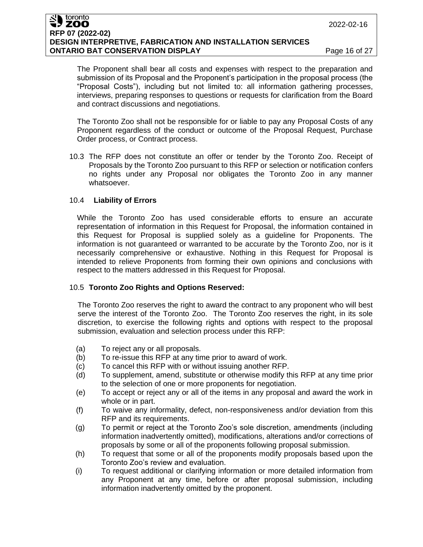#### toronto ZOO **RFP 07 (2022-02) DESIGN INTERPRETIVE, FABRICATION AND INSTALLATION SERVICES ONTARIO BAT CONSERVATION DISPLAY Page 16 of 27**

The Proponent shall bear all costs and expenses with respect to the preparation and submission of its Proposal and the Proponent's participation in the proposal process (the "Proposal Costs"), including but not limited to: all information gathering processes, interviews, preparing responses to questions or requests for clarification from the Board and contract discussions and negotiations.

The Toronto Zoo shall not be responsible for or liable to pay any Proposal Costs of any Proponent regardless of the conduct or outcome of the Proposal Request, Purchase Order process, or Contract process.

10.3 The RFP does not constitute an offer or tender by the Toronto Zoo. Receipt of Proposals by the Toronto Zoo pursuant to this RFP or selection or notification confers no rights under any Proposal nor obligates the Toronto Zoo in any manner whatsoever.

## 10.4 **Liability of Errors**

While the Toronto Zoo has used considerable efforts to ensure an accurate representation of information in this Request for Proposal, the information contained in this Request for Proposal is supplied solely as a guideline for Proponents. The information is not guaranteed or warranted to be accurate by the Toronto Zoo, nor is it necessarily comprehensive or exhaustive. Nothing in this Request for Proposal is intended to relieve Proponents from forming their own opinions and conclusions with respect to the matters addressed in this Request for Proposal.

## 10.5 **Toronto Zoo Rights and Options Reserved:**

The Toronto Zoo reserves the right to award the contract to any proponent who will best serve the interest of the Toronto Zoo. The Toronto Zoo reserves the right, in its sole discretion, to exercise the following rights and options with respect to the proposal submission, evaluation and selection process under this RFP:

- (a) To reject any or all proposals.
- (b) To re-issue this RFP at any time prior to award of work.
- (c) To cancel this RFP with or without issuing another RFP.
- (d) To supplement, amend, substitute or otherwise modify this RFP at any time prior to the selection of one or more proponents for negotiation.
- (e) To accept or reject any or all of the items in any proposal and award the work in whole or in part.
- (f) To waive any informality, defect, non-responsiveness and/or deviation from this RFP and its requirements.
- (g) To permit or reject at the Toronto Zoo's sole discretion, amendments (including information inadvertently omitted), modifications, alterations and/or corrections of proposals by some or all of the proponents following proposal submission.
- (h) To request that some or all of the proponents modify proposals based upon the Toronto Zoo's review and evaluation.
- (i) To request additional or clarifying information or more detailed information from any Proponent at any time, before or after proposal submission, including information inadvertently omitted by the proponent.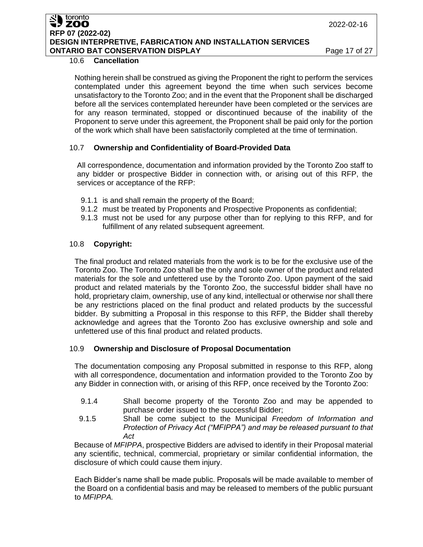#### toronto ZOO **RFP 07 (2022-02) DESIGN INTERPRETIVE, FABRICATION AND INSTALLATION SERVICES ONTARIO BAT CONSERVATION DISPLAY Page 17 of 27**

## 10.6 **Cancellation**

Nothing herein shall be construed as giving the Proponent the right to perform the services contemplated under this agreement beyond the time when such services become unsatisfactory to the Toronto Zoo; and in the event that the Proponent shall be discharged before all the services contemplated hereunder have been completed or the services are for any reason terminated, stopped or discontinued because of the inability of the Proponent to serve under this agreement, the Proponent shall be paid only for the portion of the work which shall have been satisfactorily completed at the time of termination.

# 10.7 **Ownership and Confidentiality of Board-Provided Data**

All correspondence, documentation and information provided by the Toronto Zoo staff to any bidder or prospective Bidder in connection with, or arising out of this RFP, the services or acceptance of the RFP:

- 9.1.1 is and shall remain the property of the Board;
- 9.1.2 must be treated by Proponents and Prospective Proponents as confidential;
- 9.1.3 must not be used for any purpose other than for replying to this RFP, and for fulfillment of any related subsequent agreement.

# 10.8 **Copyright:**

The final product and related materials from the work is to be for the exclusive use of the Toronto Zoo. The Toronto Zoo shall be the only and sole owner of the product and related materials for the sole and unfettered use by the Toronto Zoo. Upon payment of the said product and related materials by the Toronto Zoo, the successful bidder shall have no hold, proprietary claim, ownership, use of any kind, intellectual or otherwise nor shall there be any restrictions placed on the final product and related products by the successful bidder. By submitting a Proposal in this response to this RFP, the Bidder shall thereby acknowledge and agrees that the Toronto Zoo has exclusive ownership and sole and unfettered use of this final product and related products.

## 10.9 **Ownership and Disclosure of Proposal Documentation**

The documentation composing any Proposal submitted in response to this RFP, along with all correspondence, documentation and information provided to the Toronto Zoo by any Bidder in connection with, or arising of this RFP, once received by the Toronto Zoo:

- 9.1.4 Shall become property of the Toronto Zoo and may be appended to purchase order issued to the successful Bidder;
- 9.1.5 Shall be come subject to the Municipal *Freedom of Information and Protection of Privacy Act ("MFIPPA") and may be released pursuant to that Act*

Because of *MFIPPA*, prospective Bidders are advised to identify in their Proposal material any scientific, technical, commercial, proprietary or similar confidential information, the disclosure of which could cause them injury.

Each Bidder's name shall be made public. Proposals will be made available to member of the Board on a confidential basis and may be released to members of the public pursuant to *MFIPPA.*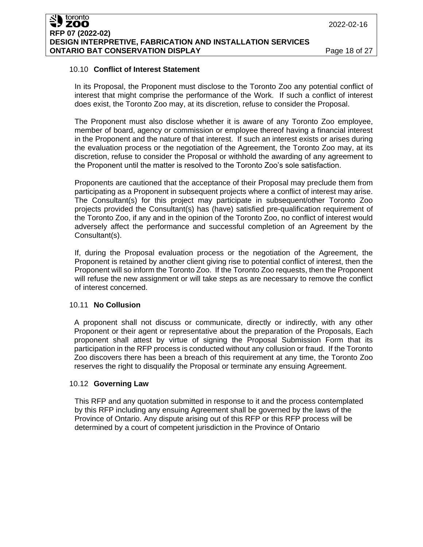#### 10.10 **Conflict of Interest Statement**

In its Proposal, the Proponent must disclose to the Toronto Zoo any potential conflict of interest that might comprise the performance of the Work. If such a conflict of interest does exist, the Toronto Zoo may, at its discretion, refuse to consider the Proposal.

The Proponent must also disclose whether it is aware of any Toronto Zoo employee, member of board, agency or commission or employee thereof having a financial interest in the Proponent and the nature of that interest. If such an interest exists or arises during the evaluation process or the negotiation of the Agreement, the Toronto Zoo may, at its discretion, refuse to consider the Proposal or withhold the awarding of any agreement to the Proponent until the matter is resolved to the Toronto Zoo's sole satisfaction.

Proponents are cautioned that the acceptance of their Proposal may preclude them from participating as a Proponent in subsequent projects where a conflict of interest may arise. The Consultant(s) for this project may participate in subsequent/other Toronto Zoo projects provided the Consultant(s) has (have) satisfied pre-qualification requirement of the Toronto Zoo, if any and in the opinion of the Toronto Zoo, no conflict of interest would adversely affect the performance and successful completion of an Agreement by the Consultant(s).

If, during the Proposal evaluation process or the negotiation of the Agreement, the Proponent is retained by another client giving rise to potential conflict of interest, then the Proponent will so inform the Toronto Zoo. If the Toronto Zoo requests, then the Proponent will refuse the new assignment or will take steps as are necessary to remove the conflict of interest concerned.

## 10.11 **No Collusion**

A proponent shall not discuss or communicate, directly or indirectly, with any other Proponent or their agent or representative about the preparation of the Proposals, Each proponent shall attest by virtue of signing the Proposal Submission Form that its participation in the RFP process is conducted without any collusion or fraud. If the Toronto Zoo discovers there has been a breach of this requirement at any time, the Toronto Zoo reserves the right to disqualify the Proposal or terminate any ensuing Agreement.

## 10.12 **Governing Law**

This RFP and any quotation submitted in response to it and the process contemplated by this RFP including any ensuing Agreement shall be governed by the laws of the Province of Ontario. Any dispute arising out of this RFP or this RFP process will be determined by a court of competent jurisdiction in the Province of Ontario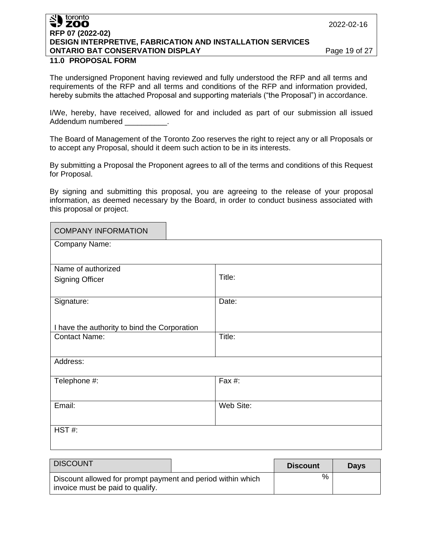#### 2022-02-16

# toronto **SY ZOO RFP 07 (2022-02) DESIGN INTERPRETIVE, FABRICATION AND INSTALLATION SERVICES ONTARIO BAT CONSERVATION DISPLAY Page 19 of 27**

# **11.0 PROPOSAL FORM**

The undersigned Proponent having reviewed and fully understood the RFP and all terms and requirements of the RFP and all terms and conditions of the RFP and information provided, hereby submits the attached Proposal and supporting materials ("the Proposal") in accordance.

I/We, hereby, have received, allowed for and included as part of our submission all issued Addendum numbered

The Board of Management of the Toronto Zoo reserves the right to reject any or all Proposals or to accept any Proposal, should it deem such action to be in its interests.

By submitting a Proposal the Proponent agrees to all of the terms and conditions of this Request for Proposal.

By signing and submitting this proposal, you are agreeing to the release of your proposal information, as deemed necessary by the Board, in order to conduct business associated with this proposal or project.

| <b>COMPANY INFORMATION</b>                   |           |  |  |  |
|----------------------------------------------|-----------|--|--|--|
| Company Name:                                |           |  |  |  |
|                                              |           |  |  |  |
| Name of authorized                           |           |  |  |  |
| <b>Signing Officer</b>                       | Title:    |  |  |  |
|                                              |           |  |  |  |
| Signature:                                   | Date:     |  |  |  |
|                                              |           |  |  |  |
| I have the authority to bind the Corporation |           |  |  |  |
| <b>Contact Name:</b>                         | Title:    |  |  |  |
|                                              |           |  |  |  |
| Address:                                     |           |  |  |  |
|                                              |           |  |  |  |
| Telephone #:                                 | Fax #:    |  |  |  |
|                                              |           |  |  |  |
| Email:                                       | Web Site: |  |  |  |
|                                              |           |  |  |  |
| $HST#$ :                                     |           |  |  |  |
|                                              |           |  |  |  |

| <b>DISCOUNT</b>                                                                                 |  | <b>Discount</b> | <b>Days</b> |
|-------------------------------------------------------------------------------------------------|--|-----------------|-------------|
| Discount allowed for prompt payment and period within which<br>invoice must be paid to qualify. |  | %               |             |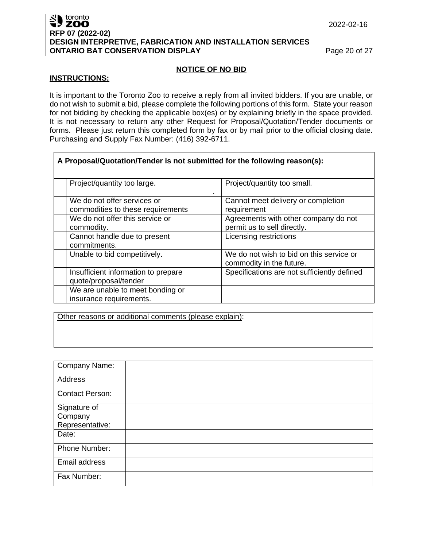#### SU toronto toronto **RFP 07 (2022-02) DESIGN INTERPRETIVE, FABRICATION AND INSTALLATION SERVICES ONTARIO BAT CONSERVATION DISPLAY Page 20 of 27**

## **NOTICE OF NO BID**

#### **INSTRUCTIONS:**

It is important to the Toronto Zoo to receive a reply from all invited bidders. If you are unable, or do not wish to submit a bid, please complete the following portions of this form. State your reason for not bidding by checking the applicable box(es) or by explaining briefly in the space provided. It is not necessary to return any other Request for Proposal/Quotation/Tender documents or forms. Please just return this completed form by fax or by mail prior to the official closing date. Purchasing and Supply Fax Number: (416) 392-6711.

| A Proposal/Quotation/Tender is not submitted for the following reason(s): |                                                                      |  |  |  |  |
|---------------------------------------------------------------------------|----------------------------------------------------------------------|--|--|--|--|
| Project/quantity too large.                                               | Project/quantity too small.                                          |  |  |  |  |
| We do not offer services or<br>commodities to these requirements          | Cannot meet delivery or completion<br>requirement                    |  |  |  |  |
| We do not offer this service or<br>commodity.                             | Agreements with other company do not<br>permit us to sell directly.  |  |  |  |  |
| Cannot handle due to present<br>commitments.                              | Licensing restrictions                                               |  |  |  |  |
| Unable to bid competitively.                                              | We do not wish to bid on this service or<br>commodity in the future. |  |  |  |  |
| Insufficient information to prepare<br>quote/proposal/tender              | Specifications are not sufficiently defined                          |  |  |  |  |
| We are unable to meet bonding or<br>insurance requirements.               |                                                                      |  |  |  |  |

Other reasons or additional comments (please explain):

| Company Name:                              |  |
|--------------------------------------------|--|
| Address                                    |  |
| <b>Contact Person:</b>                     |  |
| Signature of<br>Company<br>Representative: |  |
| Date:                                      |  |
| Phone Number:                              |  |
| Email address                              |  |
| Fax Number:                                |  |

2022-02-16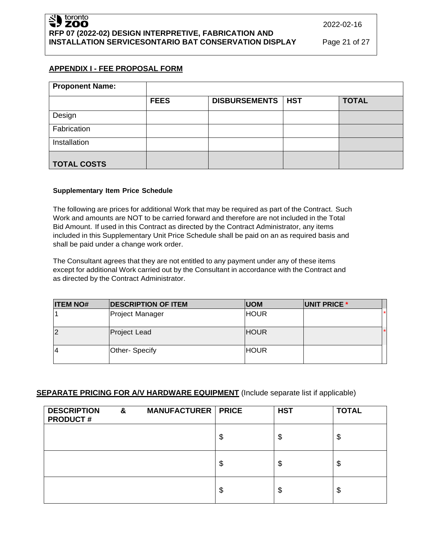# **APPENDIX I - FEE PROPOSAL FORM**

| <b>Proponent Name:</b> |             |                     |              |
|------------------------|-------------|---------------------|--------------|
|                        | <b>FEES</b> | DISBURSEMENTS   HST | <b>TOTAL</b> |
| Design                 |             |                     |              |
| Fabrication            |             |                     |              |
| Installation           |             |                     |              |
| <b>TOTAL COSTS</b>     |             |                     |              |

## **Supplementary Item Price Schedule**

The following are prices for additional Work that may be required as part of the Contract. Such Work and amounts are NOT to be carried forward and therefore are not included in the Total Bid Amount. If used in this Contract as directed by the Contract Administrator, any items included in this Supplementary Unit Price Schedule shall be paid on an as required basis and shall be paid under a change work order.

The Consultant agrees that they are not entitled to any payment under any of these items except for additional Work carried out by the Consultant in accordance with the Contract and as directed by the Contract Administrator.

| <b>ITEM NO#</b> | <b>DESCRIPTION OF ITEM</b> | <b>IUOM</b> | UNIT PRICE * |  |
|-----------------|----------------------------|-------------|--------------|--|
|                 | Project Manager            | <b>HOUR</b> |              |  |
| 12              | <b>Project Lead</b>        | <b>HOUR</b> |              |  |
| 14              | Other- Specify             | <b>HOUR</b> |              |  |

## **SEPARATE PRICING FOR A/V HARDWARE EQUIPMENT** (Include separate list if applicable)

| <b>DESCRIPTION</b><br><b>PRODUCT#</b> | & | <b>MANUFACTURER   PRICE</b> | <b>HST</b> | <b>TOTAL</b> |
|---------------------------------------|---|-----------------------------|------------|--------------|
|                                       |   |                             | \$<br>\$   | \$           |
|                                       |   |                             | \$<br>\$   | \$           |
|                                       |   |                             | \$<br>\$   | \$           |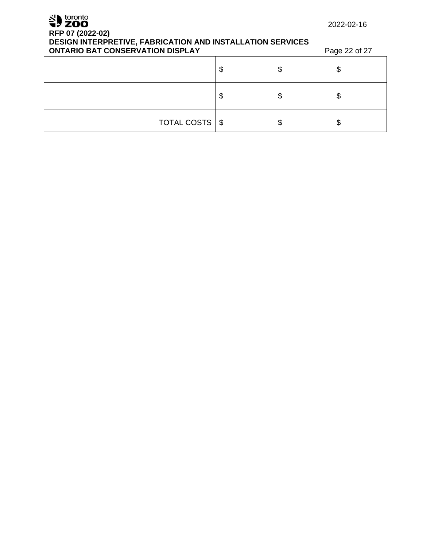| toronto<br>$\frac{8}{2}$ zoo<br>RFP 07 (2022-02)<br>DESIGN INTERPRETIVE, FABRICATION AND INSTALLATION SERVICES<br><b>ONTARIO BAT CONSERVATION DISPLAY</b> | 2022-02-16<br>Page 22 of 27 |          |
|-----------------------------------------------------------------------------------------------------------------------------------------------------------|-----------------------------|----------|
|                                                                                                                                                           | \$                          | \$<br>\$ |
|                                                                                                                                                           | \$                          | \$<br>\$ |
| TOTAL COSTS                                                                                                                                               | - \$                        | \$<br>\$ |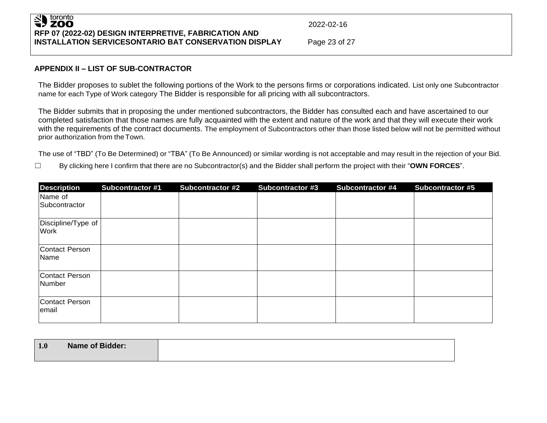## toronto<br>**ZOO** 42 **RFP 07 (2022-02) DESIGN INTERPRETIVE, FABRICATION AND INSTALLATION SERVICESONTARIO BAT CONSERVATION DISPLAY** Page 23 of 27

2022-02-16

# **APPENDIX II – LIST OF SUB-CONTRACTOR**

The Bidder proposes to sublet the following portions of the Work to the persons firms or corporations indicated. List only one Subcontractor name for each Type of Work category The Bidder is responsible for all pricing with all subcontractors.

The Bidder submits that in proposing the under mentioned subcontractors, the Bidder has consulted each and have ascertained to our completed satisfaction that those names are fully acquainted with the extent and nature of the work and that they will execute their work with the requirements of the contract documents. The employment of Subcontractors other than those listed below will not be permitted without prior authorization from theTown.

The use of "TBD" (To Be Determined) or "TBA" (To Be Announced) or similar wording is not acceptable and may result in the rejection of your Bid.

☐ By clicking here I confirm that there are no Subcontractor(s) and the Bidder shall perform the project with their "**OWN FORCES**".

| <b>Description</b>              | <b>Subcontractor #1</b> | <b>Subcontractor #2</b> | <b>Subcontractor #3</b> | <b>Subcontractor #4</b> | <b>Subcontractor #5</b> |
|---------------------------------|-------------------------|-------------------------|-------------------------|-------------------------|-------------------------|
| Name of<br>Subcontractor        |                         |                         |                         |                         |                         |
| Discipline/Type of<br>Work      |                         |                         |                         |                         |                         |
| Contact Person<br>Name          |                         |                         |                         |                         |                         |
| <b>Contact Person</b><br>Number |                         |                         |                         |                         |                         |
| <b>Contact Person</b><br>email  |                         |                         |                         |                         |                         |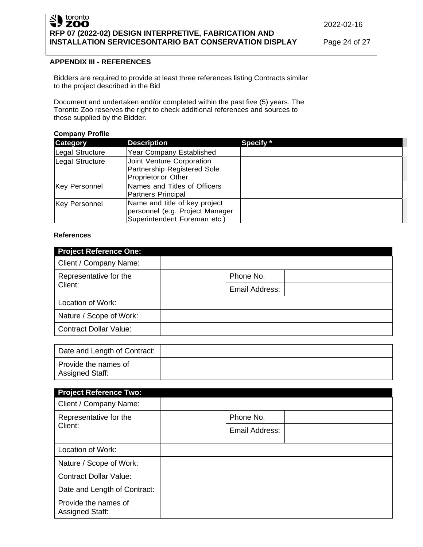# Sales boronto **RFP 07 (2022-02) DESIGN INTERPRETIVE, FABRICATION AND INSTALLATION SERVICESONTARIO BAT CONSERVATION DISPLAY** Page 24 of 27

2022-02-16

# **APPENDIX III - REFERENCES**

Bidders are required to provide at least three references listing Contracts similar to the project described in the Bid

Document and undertaken and/or completed within the past five (5) years. The Toronto Zoo reserves the right to check additional references and sources to those supplied by the Bidder.

#### **Company Profile**

| <b>Category</b> | <b>Description</b>                                                                               | Specify * |
|-----------------|--------------------------------------------------------------------------------------------------|-----------|
| Legal Structure | <b>Year Company Established</b>                                                                  |           |
| Legal Structure | Joint Venture Corporation<br>Partnership Registered Sole<br>Proprietor or Other                  |           |
| Key Personnel   | Names and Titles of Officers<br>Partners Principal                                               |           |
| Key Personnel   | Name and title of key project<br>personnel (e.g. Project Manager<br>Superintendent Foreman etc.) |           |

#### **References**

| <b>Project Reference One:</b> |                |
|-------------------------------|----------------|
| Client / Company Name:        |                |
| Representative for the        | Phone No.      |
| Client:                       | Email Address: |
| Location of Work:             |                |
| Nature / Scope of Work:       |                |
| <b>Contract Dollar Value:</b> |                |

| Date and Length of Contract:            |  |
|-----------------------------------------|--|
| Provide the names of<br>Assigned Staff: |  |

| <b>Project Reference Two:</b>                  |                |  |  |  |
|------------------------------------------------|----------------|--|--|--|
| Client / Company Name:                         |                |  |  |  |
| Representative for the<br>Client:              | Phone No.      |  |  |  |
|                                                | Email Address: |  |  |  |
| Location of Work:                              |                |  |  |  |
| Nature / Scope of Work:                        |                |  |  |  |
| <b>Contract Dollar Value:</b>                  |                |  |  |  |
| Date and Length of Contract:                   |                |  |  |  |
| Provide the names of<br><b>Assigned Staff:</b> |                |  |  |  |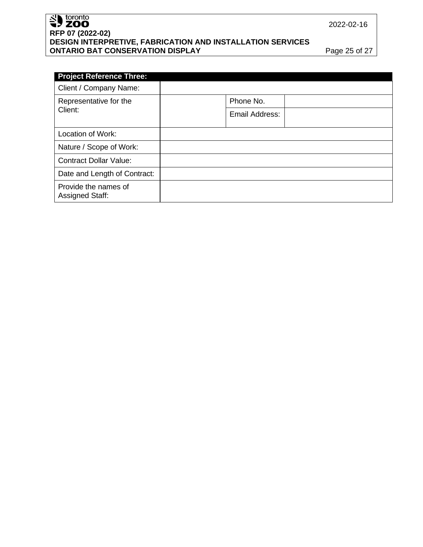# Superiordinal contracts **RFP 07 (2022-02) DESIGN INTERPRETIVE, FABRICATION AND INSTALLATION SERVICES ONTARIO BAT CONSERVATION DISPLAY Page 25 of 27**

2022-02-16

| <b>Project Reference Three:</b>         |                |  |
|-----------------------------------------|----------------|--|
| Client / Company Name:                  |                |  |
| Representative for the                  | Phone No.      |  |
| Client:                                 | Email Address: |  |
| Location of Work:                       |                |  |
| Nature / Scope of Work:                 |                |  |
| <b>Contract Dollar Value:</b>           |                |  |
| Date and Length of Contract:            |                |  |
| Provide the names of<br>Assigned Staff: |                |  |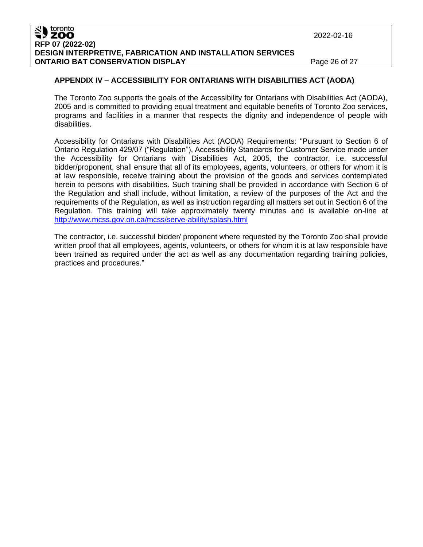#### toronto **ZOO RFP 07 (2022-02) DESIGN INTERPRETIVE, FABRICATION AND INSTALLATION SERVICES ONTARIO BAT CONSERVATION DISPLAY Page 26 of 27**

2022-02-16

# **APPENDIX IV – ACCESSIBILITY FOR ONTARIANS WITH DISABILITIES ACT (AODA)**

The Toronto Zoo supports the goals of the Accessibility for Ontarians with Disabilities Act (AODA), 2005 and is committed to providing equal treatment and equitable benefits of Toronto Zoo services, programs and facilities in a manner that respects the dignity and independence of people with disabilities.

Accessibility for Ontarians with Disabilities Act (AODA) Requirements: "Pursuant to Section 6 of Ontario Regulation 429/07 ("Regulation"), Accessibility Standards for Customer Service made under the Accessibility for Ontarians with Disabilities Act, 2005, the contractor, i.e. successful bidder/proponent, shall ensure that all of its employees, agents, volunteers, or others for whom it is at law responsible, receive training about the provision of the goods and services contemplated herein to persons with disabilities. Such training shall be provided in accordance with Section 6 of the Regulation and shall include, without limitation, a review of the purposes of the Act and the requirements of the Regulation, as well as instruction regarding all matters set out in Section 6 of the Regulation. This training will take approximately twenty minutes and is available on-line at <http://www.mcss.gov.on.ca/mcss/serve-ability/splash.html>

The contractor, i.e. successful bidder/ proponent where requested by the Toronto Zoo shall provide written proof that all employees, agents, volunteers, or others for whom it is at law responsible have been trained as required under the act as well as any documentation regarding training policies, practices and procedures."